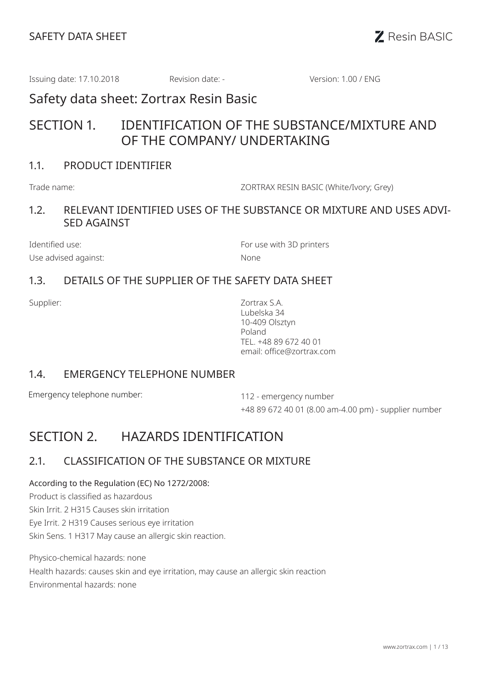Issuing date: 17.10.2018 Revision date: - Version: 1.00 / ENG

Safety data sheet: Zortrax Resin Basic

# SECTION 1. IDENTIFICATION OF THE SUBSTANCE/MIXTURE AND OF THE COMPANY/ UNDERTAKING

## 1.1. PRODUCT IDENTIFIER

Trade name: ZORTRAX RESIN BASIC (White/Ivory; Grey)

## 1.2. RELEVANT IDENTIFIED USES OF THE SUBSTANCE OR MIXTURE AND USES ADVI-SED AGAINST

Use advised against: None

Identified use: The Contract of the Contract of the Formulae with 3D printers

## 1.3. DETAILS OF THE SUPPLIER OF THE SAFETY DATA SHEET

Supplier: Zortrax S.A. Lubelska 34 10-409 Olsztyn Poland TEL. +48 89 672 40 01 email: office@zortrax.com

### 1.4. EMERGENCY TELEPHONE NUMBER

Emergency telephone number: 112 - emergency number

+48 89 672 40 01 (8.00 am-4.00 pm) - supplier number

# SECTION 2. HAZARDS IDENTIFICATION

# 2.1. CLASSIFICATION OF THE SUBSTANCE OR MIXTURE

#### According to the Regulation (EC) No 1272/2008:

Product is classified as hazardous

Skin Irrit. 2 H315 Causes skin irritation

Eye Irrit. 2 H319 Causes serious eye irritation

Skin Sens. 1 H317 May cause an allergic skin reaction.

Physico-chemical hazards: none Health hazards: causes skin and eye irritation, may cause an allergic skin reaction Environmental hazards: none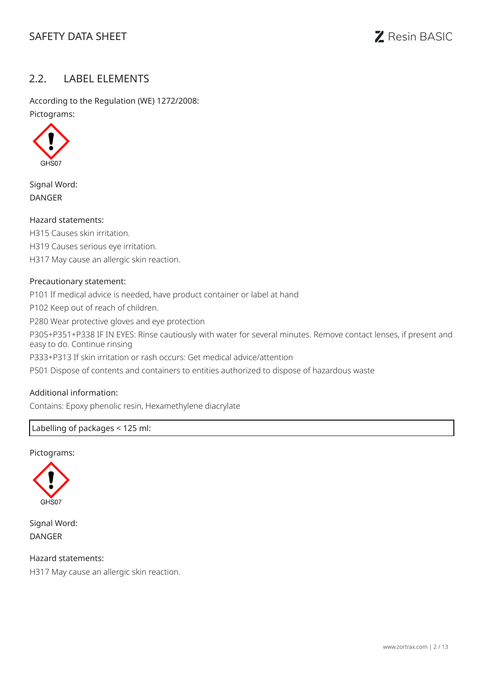# SAFETY DATA SHEET **Resin BASIC**

## 2.2. LABEL ELEMENTS

According to the Regulation (WE) 1272/2008: Pictograms:



Signal Word: DANGER

#### Hazard statements:

H315 Causes skin irritation. H319 Causes serious eye irritation. H317 May cause an allergic skin reaction.

#### Precautionary statement:

P101 If medical advice is needed, have product container or label at hand P102 Keep out of reach of children. P280 Wear protective gloves and eye protection P305+P351+P338 IF IN EYES: Rinse cautiously with water for several minutes. Remove contact lenses, if present and easy to do. Continue rinsing P333+P313 If skin irritation or rash occurs: Get medical advice/attention P501 Dispose of contents and containers to entities authorized to dispose of hazardous waste

#### Additional information:

Contains: Epoxy phenolic resin, Hexamethylene diacrylate

#### Labelling of packages < 125 ml:

#### Pictograms:



Signal Word: DANGER

Hazard statements: H317 May cause an allergic skin reaction.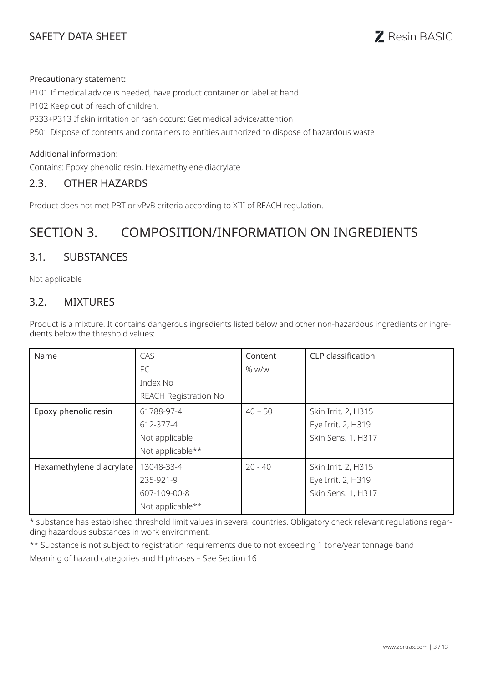# SAFETY DATA SHEET **SAFETY** DATA SHEET

#### Precautionary statement:

P101 If medical advice is needed, have product container or label at hand P102 Keep out of reach of children. P333+P313 If skin irritation or rash occurs: Get medical advice/attention P501 Dispose of contents and containers to entities authorized to dispose of hazardous waste

#### Additional information:

Contains: Epoxy phenolic resin, Hexamethylene diacrylate

### 2.3. OTHER HAZARDS

Product does not met PBT or vPvB criteria according to XIII of REACH regulation.

# SECTION 3. COMPOSITION/INFORMATION ON INGREDIENTS

## 3.1. SUBSTANCES

Not applicable

### 3.2. MIXTURES

Product is a mixture. It contains dangerous ingredients listed below and other non-hazardous ingredients or ingredients below the threshold values:

| Name                     | CAS                          | Content   | <b>CLP</b> classification |
|--------------------------|------------------------------|-----------|---------------------------|
|                          | EC                           | % w/w     |                           |
|                          | Index No                     |           |                           |
|                          | <b>REACH Registration No</b> |           |                           |
| Epoxy phenolic resin     | 61788-97-4                   | $40 - 50$ | Skin Irrit. 2, H315       |
|                          | 612-377-4                    |           | Eye Irrit. 2, H319        |
|                          | Not applicable               |           | Skin Sens. 1, H317        |
|                          | Not applicable**             |           |                           |
| Hexamethylene diacrylate | 13048-33-4                   | $20 - 40$ | Skin Irrit. 2, H315       |
|                          | 235-921-9                    |           | Eye Irrit. 2, H319        |
|                          | 607-109-00-8                 |           | Skin Sens. 1, H317        |
|                          | Not applicable**             |           |                           |

\* substance has established threshold limit values in several countries. Obligatory check relevant regulations regarding hazardous substances in work environment.

\*\* Substance is not subject to registration requirements due to not exceeding 1 tone/year tonnage band

Meaning of hazard categories and H phrases – See Section 16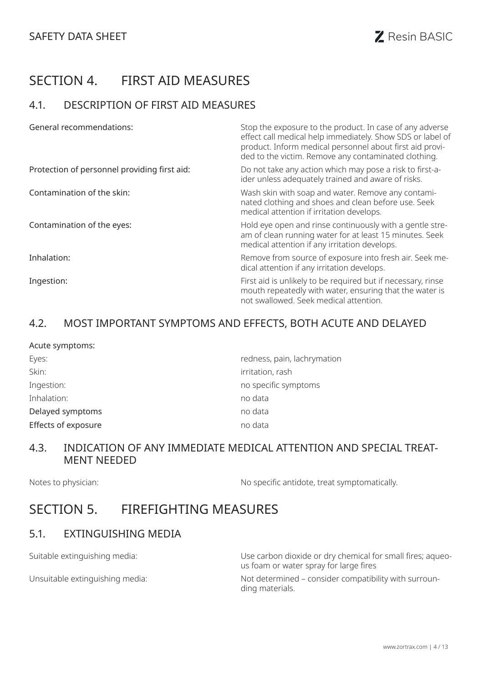# SECTION 4. FIRST AID MEASURES

## 4.1. DESCRIPTION OF FIRST AID MEASURES

| <b>General recommendations:</b>              | Stop the exposure to the product. In case of any adverse<br>effect call medical help immediately. Show SDS or label of<br>product. Inform medical personnel about first aid provi-<br>ded to the victim. Remove any contaminated clothing. |
|----------------------------------------------|--------------------------------------------------------------------------------------------------------------------------------------------------------------------------------------------------------------------------------------------|
| Protection of personnel providing first aid: | Do not take any action which may pose a risk to first-a-<br>ider unless adequately trained and aware of risks.                                                                                                                             |
| Contamination of the skin:                   | Wash skin with soap and water. Remove any contami-<br>nated clothing and shoes and clean before use. Seek<br>medical attention if irritation develops.                                                                                     |
| Contamination of the eyes:                   | Hold eye open and rinse continuously with a gentle stre-<br>am of clean running water for at least 15 minutes. Seek<br>medical attention if any irritation develops.                                                                       |
| Inhalation:                                  | Remove from source of exposure into fresh air. Seek me-<br>dical attention if any irritation develops.                                                                                                                                     |
| Ingestion:                                   | First aid is unlikely to be required but if necessary, rinse<br>mouth repeatedly with water, ensuring that the water is<br>not swallowed. Seek medical attention.                                                                          |

## 4.2. MOST IMPORTANT SYMPTOMS AND EFFECTS, BOTH ACUTE AND DELAYED

| Acute symptoms:     |                             |
|---------------------|-----------------------------|
| Eyes:               | redness, pain, lachrymation |
| Skin:               | irritation, rash            |
| Ingestion:          | no specific symptoms        |
| Inhalation:         | no data                     |
| Delayed symptoms    | no data                     |
| Effects of exposure | no data                     |

## 4.3. INDICATION OF ANY IMMEDIATE MEDICAL ATTENTION AND SPECIAL TREAT-MENT NEEDED

Notes to physician:  $\blacksquare$  No specific antidote, treat symptomatically.

# SECTION 5. FIREFIGHTING MEASURES

## 5.1. EXTINGUISHING MEDIA

Suitable extinguishing media: valued by the carbon dioxide or dry chemical for small fires; aqueous foam or water spray for large fires

Unsuitable extinguishing media: Not determined – consider compatibility with surrounding materials.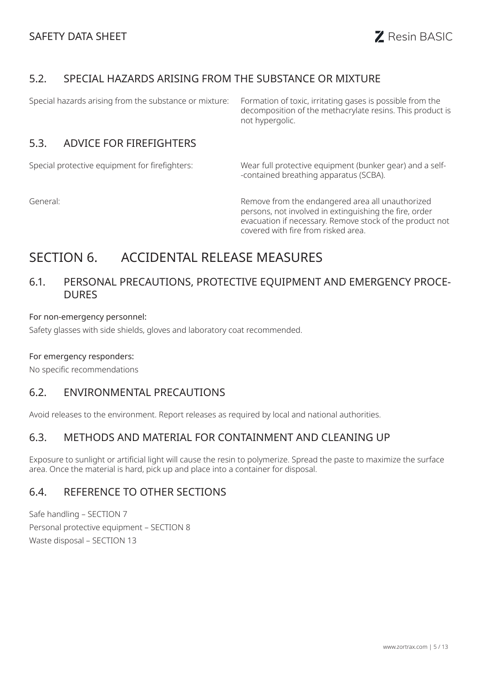## 5.2. SPECIAL HAZARDS ARISING FROM THE SUBSTANCE OR MIXTURE

Special hazards arising from the substance or mixture: Formation of toxic, irritating gases is possible from the decomposition of the methacrylate resins. This product is not hypergolic.

## 5.3. ADVICE FOR FIREFIGHTERS

Special protective equipment for firefighters: Wear full protective equipment (bunker gear) and a self- -contained breathing apparatus (SCBA).

General: Remove from the endangered area all unauthorized persons, not involved in extinguishing the fire, order evacuation if necessary. Remove stock of the product not covered with fire from risked area.

# SECTION 6. ACCIDENTAL RELEASE MEASURES

## 6.1. PERSONAL PRECAUTIONS, PROTECTIVE EQUIPMENT AND EMERGENCY PROCE-DURES

#### For non-emergency personnel:

Safety glasses with side shields, gloves and laboratory coat recommended.

#### For emergency responders:

No specific recommendations

## 6.2. ENVIRONMENTAL PRECAUTIONS

Avoid releases to the environment. Report releases as required by local and national authorities.

### 6.3. METHODS AND MATERIAL FOR CONTAINMENT AND CLEANING UP

Exposure to sunlight or artificial light will cause the resin to polymerize. Spread the paste to maximize the surface area. Once the material is hard, pick up and place into a container for disposal.

# 6.4. REFERENCE TO OTHER SECTIONS

Safe handling – SECTION 7 Personal protective equipment – SECTION 8 Waste disposal – SECTION 13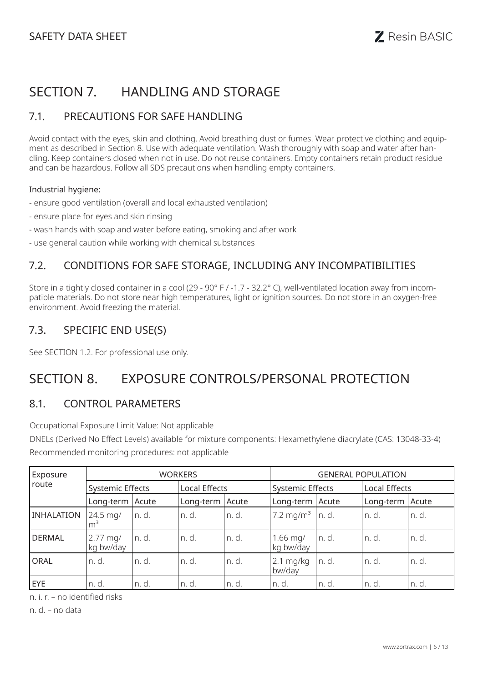# SECTION 7. HANDLING AND STORAGE

## 7.1. PRECAUTIONS FOR SAFE HANDLING

Avoid contact with the eyes, skin and clothing. Avoid breathing dust or fumes. Wear protective clothing and equipment as described in Section 8. Use with adequate ventilation. Wash thoroughly with soap and water after handling. Keep containers closed when not in use. Do not reuse containers. Empty containers retain product residue and can be hazardous. Follow all SDS precautions when handling empty containers.

#### Industrial hygiene:

- ensure good ventilation (overall and local exhausted ventilation)
- ensure place for eyes and skin rinsing
- wash hands with soap and water before eating, smoking and after work
- use general caution while working with chemical substances

# 7.2. CONDITIONS FOR SAFE STORAGE, INCLUDING ANY INCOMPATIBILITIES

Store in a tightly closed container in a cool (29 - 90° F / -1.7 - 32.2° C), well-ventilated location away from incompatible materials. Do not store near high temperatures, light or ignition sources. Do not store in an oxygen-free environment. Avoid freezing the material.

## 7.3. SPECIFIC END USE(S)

See SECTION 1.2. For professional use only.

# SECTION 8. EXPOSURE CONTROLS/PERSONAL PROTECTION

## 8.1. CONTROL PARAMETERS

Occupational Exposure Limit Value: Not applicable

DNELs (Derived No Effect Levels) available for mixture components: Hexamethylene diacrylate (CAS: 13048-33-4) Recommended monitoring procedures: not applicable

| Exposure          |                                  |       | <b>WORKERS</b>  |       | <b>GENERAL POPULATION</b>      |         |                 |        |
|-------------------|----------------------------------|-------|-----------------|-------|--------------------------------|---------|-----------------|--------|
| route             | <b>Systemic Effects</b>          |       | Local Effects   |       | <b>Systemic Effects</b>        |         | Local Effects   |        |
|                   | Long-term Acute                  |       | Long-term Acute |       | Long-term Acute                |         | Long-term Acute |        |
| <b>INHALATION</b> | 24.5 mg/<br>m <sup>3</sup>       | n. d. | n. d.           | n. d. | 7.2 mg/m <sup>3</sup> $\ln$ d. |         | In. d.          | In. d. |
| <b>DERMAL</b>     | $2.77 \text{ mg}$ /<br>kg bw/day | n. d. | n. d.           | n. d. | $1.66$ mg/<br>kg bw/day        | l n. d. | In. d.          | In. d. |
| ORAL              | n. d.                            | n. d. | n. d.           | n. d. | $2.1 \text{ mg/kg}$<br>bw/day  | n. d.   | In. d.          | In. d. |
| EYE               | n. d.                            | n. d. | n. d.           | n. d. | n. d.                          | n. d.   | In. d.          | In. d. |

n. i. r. – no identified risks

n. d. – no data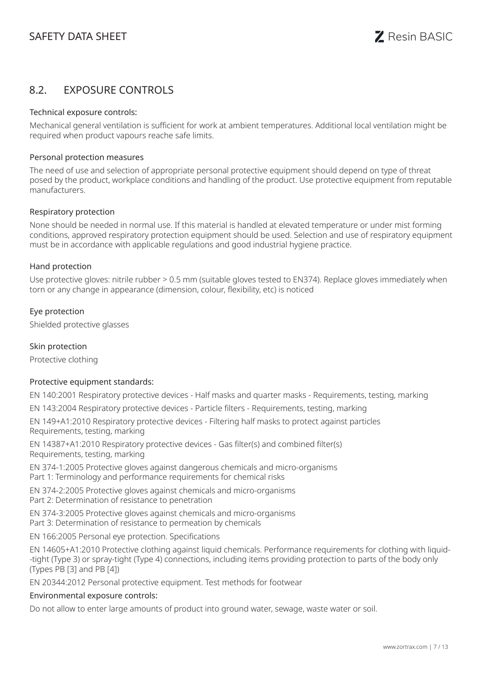## 8.2. EXPOSURE CONTROLS

#### Technical exposure controls:

Mechanical general ventilation is sufficient for work at ambient temperatures. Additional local ventilation might be required when product vapours reache safe limits.

#### Personal protection measures

The need of use and selection of appropriate personal protective equipment should depend on type of threat posed by the product, workplace conditions and handling of the product. Use protective equipment from reputable manufacturers.

#### Respiratory protection

None should be needed in normal use. If this material is handled at elevated temperature or under mist forming conditions, approved respiratory protection equipment should be used. Selection and use of respiratory equipment must be in accordance with applicable regulations and good industrial hygiene practice.

#### Hand protection

Use protective gloves: nitrile rubber > 0.5 mm (suitable gloves tested to EN374). Replace gloves immediately when torn or any change in appearance (dimension, colour, flexibility, etc) is noticed

#### Eye protection

Shielded protective glasses

#### Skin protection

Protective clothing

#### Protective equipment standards:

EN 140:2001 Respiratory protective devices - Half masks and quarter masks - Requirements, testing, marking

EN 143:2004 Respiratory protective devices - Particle filters - Requirements, testing, marking

EN 149+A1:2010 Respiratory protective devices - Filtering half masks to protect against particles Requirements, testing, marking

EN 14387+A1:2010 Respiratory protective devices - Gas filter(s) and combined filter(s) Requirements, testing, marking

EN 374-1:2005 Protective gloves against dangerous chemicals and micro-organisms Part 1: Terminology and performance requirements for chemical risks

EN 374-2:2005 Protective gloves against chemicals and micro-organisms Part 2: Determination of resistance to penetration

EN 374-3:2005 Protective gloves against chemicals and micro-organisms Part 3: Determination of resistance to permeation by chemicals

EN 166:2005 Personal eye protection. Specifications

EN 14605+A1:2010 Protective clothing against liquid chemicals. Performance requirements for clothing with liquid- -tight (Type 3) or spray-tight (Type 4) connections, including items providing protection to parts of the body only (Types PB [3] and PB [4])

EN 20344:2012 Personal protective equipment. Test methods for footwear

#### Environmental exposure controls:

Do not allow to enter large amounts of product into ground water, sewage, waste water or soil.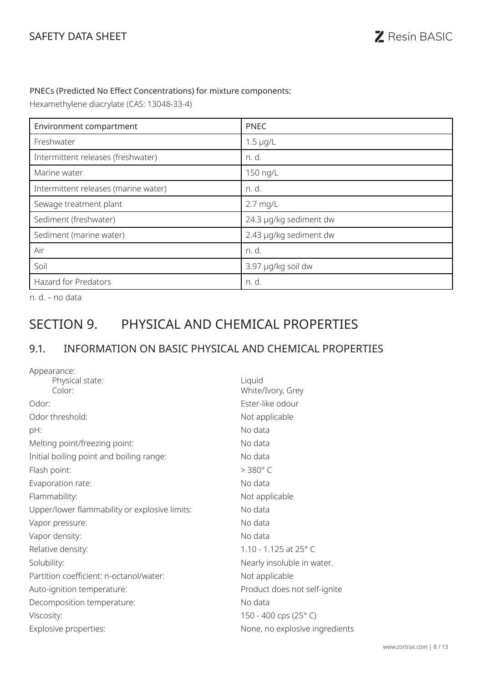#### PNECs (Predicted No Effect Concentrations) for mixture components:

Hexamethylene diacrylate (CAS: 13048-33-4)

| Environment compartment              | <b>PNEC</b>            |
|--------------------------------------|------------------------|
| Freshwater                           | $1.5 \mu g/L$          |
| Intermittent releases (freshwater)   | n. d.                  |
| Marine water                         | 150 ng/L               |
| Intermittent releases (marine water) | n. d.                  |
| Sewage treatment plant               | $2.7$ mg/L             |
| Sediment (freshwater)                | 24.3 µg/kg sediment dw |
| Sediment (marine water)              | 2.43 µg/kg sediment dw |
| Air                                  | n. d.                  |
| Soil                                 | 3.97 µg/kg soil dw     |
| <b>Hazard for Predators</b>          | n. d.                  |

n. d. – no data

# SECTION 9. PHYSICAL AND CHEMICAL PROPERTIES

# 9.1. INFORMATION ON BASIC PHYSICAL AND CHEMICAL PROPERTIES

| Appearance:                                   |                                |
|-----------------------------------------------|--------------------------------|
| Physical state:                               | Liquid                         |
| Color:                                        | White/Ivory, Grey              |
| Odor:                                         | Ester-like odour               |
| Odor threshold:                               | Not applicable                 |
| pH:                                           | No data                        |
| Melting point/freezing point:                 | No data                        |
| Initial boiling point and boiling range:      | No data                        |
| Flash point:                                  | $>$ 380 $^{\circ}$ C           |
| Evaporation rate:                             | No data                        |
| Flammability:                                 | Not applicable                 |
| Upper/lower flammability or explosive limits: | No data                        |
| Vapor pressure:                               | No data                        |
| Vapor density:                                | No data                        |
| Relative density:                             | 1.10 - 1.125 at 25° C          |
| Solubility:                                   | Nearly insoluble in water.     |
| Partition coefficient: n-octanol/water:       | Not applicable                 |
| Auto-ignition temperature:                    | Product does not self-ignite   |
| Decomposition temperature:                    | No data                        |
| Viscosity:                                    | 150 - 400 cps (25°C)           |
| Explosive properties:                         | None, no explosive ingredients |
|                                               |                                |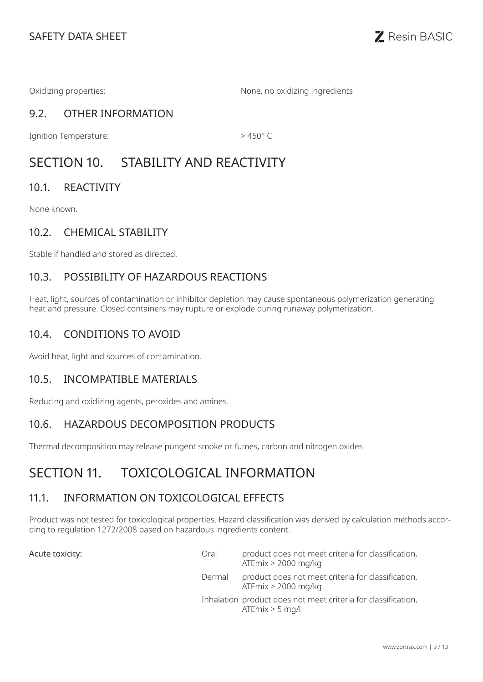Oxidizing properties: None, no oxidizing ingredients

# 9.2. OTHER INFORMATION

Ignition Temperature:  $> 450^{\circ}$  C

# SECTION 10. STABILITY AND REACTIVITY

## 10.1. REACTIVITY

None known.

## 10.2. CHEMICAL STABILITY

Stable if handled and stored as directed.

## 10.3. POSSIBILITY OF HAZARDOUS REACTIONS

Heat, light, sources of contamination or inhibitor depletion may cause spontaneous polymerization generating heat and pressure. Closed containers may rupture or explode during runaway polymerization.

## 10.4. CONDITIONS TO AVOID

Avoid heat, light and sources of contamination.

### 10.5. INCOMPATIBLE MATERIALS

Reducing and oxidizing agents, peroxides and amines.

## 10.6. HAZARDOUS DECOMPOSITION PRODUCTS

Thermal decomposition may release pungent smoke or fumes, carbon and nitrogen oxides.

# SECTION 11. TOXICOLOGICAL INFORMATION

## 11.1. INFORMATION ON TOXICOLOGICAL EFFECTS

Product was not tested for toxicological properties. Hazard classification was derived by calculation methods according to regulation 1272/2008 based on hazardous ingredients content.

Acute toxicity:

| Oral   | product does not meet criteria for classification,<br>ATE $mix$ > 2000 mg/kg       |
|--------|------------------------------------------------------------------------------------|
| Dermal | product does not meet criteria for classification,<br>ATE $mix$ > 2000 mg/kg       |
|        | Inhalation product does not meet criteria for classification,<br>$ATEmix > 5$ mg/l |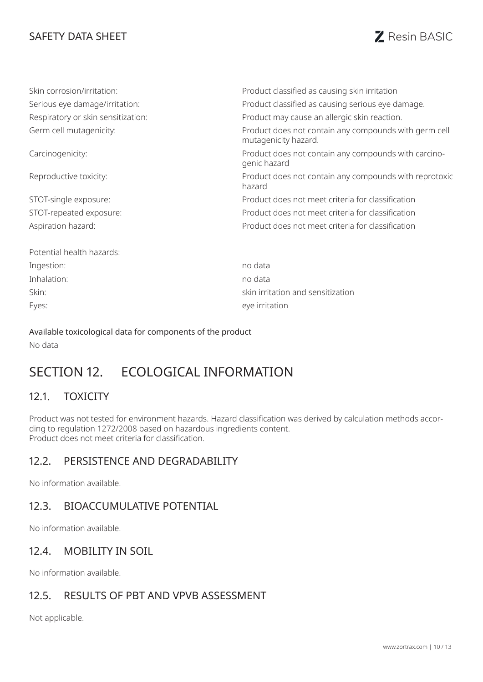# SAFETY DATA SHEET **SAFETY DATA SHEET**

| Skin corrosion/irritation:         | Product classified as causing skin irritation                                 |
|------------------------------------|-------------------------------------------------------------------------------|
| Serious eye damage/irritation:     | Product classified as causing serious eye damage.                             |
| Respiratory or skin sensitization: | Product may cause an allergic skin reaction.                                  |
| Germ cell mutagenicity:            | Product does not contain any compounds with germ cell<br>mutagenicity hazard. |
| Carcinogenicity:                   | Product does not contain any compounds with carcino-<br>genic hazard          |
| Reproductive toxicity:             | Product does not contain any compounds with reprotoxic<br>hazard              |
| STOT-single exposure:              | Product does not meet criteria for classification                             |
| STOT-repeated exposure:            | Product does not meet criteria for classification                             |
| Aspiration hazard:                 | Product does not meet criteria for classification                             |
| Potential health hazards:          |                                                                               |
| Ingestion:                         | no data                                                                       |
| Inhalation:                        | no data                                                                       |
| Skin:                              | skin irritation and sensitization                                             |
| Eyes:                              | eye irritation                                                                |

Available toxicological data for components of the product No data

# SECTION 12. FCOLOGICAL INFORMATION

## 12.1. TOXICITY

Product was not tested for environment hazards. Hazard classification was derived by calculation methods according to regulation 1272/2008 based on hazardous ingredients content. Product does not meet criteria for classification.

### 12.2. PERSISTENCE AND DEGRADABILITY

No information available.

## 12.3. BIOACCUMULATIVE POTENTIAL

No information available.

### 12.4. MOBILITY IN SOIL

No information available.

### 12.5. RESULTS OF PBT AND VPVB ASSESSMENT

Not applicable.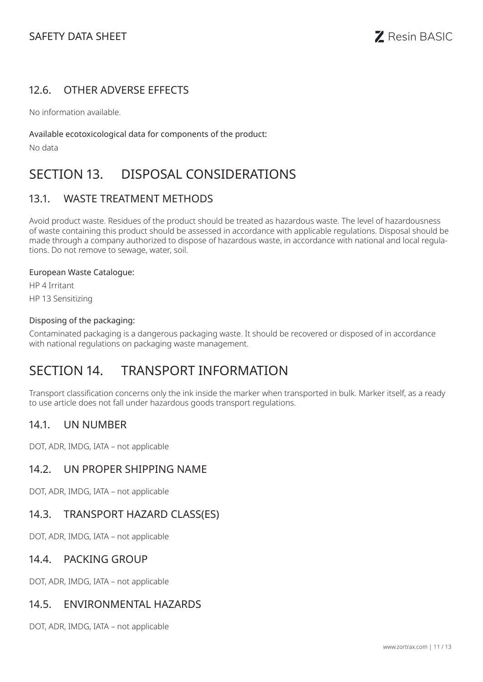## 12.6. OTHER ADVERSE EFFECTS

No information available.

#### Available ecotoxicological data for components of the product:

No data

# SECTION 13. DISPOSAL CONSIDERATIONS

## 13.1. WASTE TREATMENT METHODS

Avoid product waste. Residues of the product should be treated as hazardous waste. The level of hazardousness of waste containing this product should be assessed in accordance with applicable regulations. Disposal should be made through a company authorized to dispose of hazardous waste, in accordance with national and local regulations. Do not remove to sewage, water, soil.

#### European Waste Catalogue:

HP 4 Irritant

HP 13 Sensitizing

#### Disposing of the packaging:

Contaminated packaging is a dangerous packaging waste. It should be recovered or disposed of in accordance with national regulations on packaging waste management.

# SECTION 14. TRANSPORT INFORMATION

Transport classification concerns only the ink inside the marker when transported in bulk. Marker itself, as a ready to use article does not fall under hazardous goods transport regulations.

### 14.1. UN NUMBER

DOT, ADR, IMDG, IATA – not applicable

### 14.2. UN PROPER SHIPPING NAME

DOT, ADR, IMDG, IATA – not applicable

### 14.3. TRANSPORT HAZARD CLASS(ES)

DOT, ADR, IMDG, IATA – not applicable

### 14.4. PACKING GROUP

DOT, ADR, IMDG, IATA – not applicable

### 14.5. ENVIRONMENTAL HAZARDS

DOT, ADR, IMDG, IATA – not applicable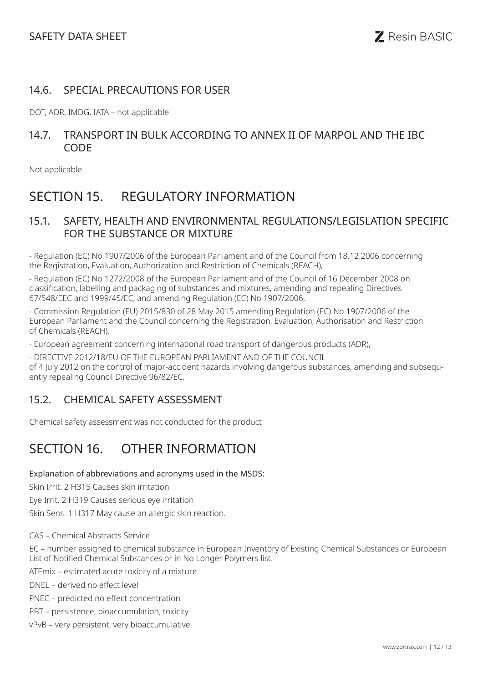## 14.6. SPECIAL PRECAUTIONS FOR USER

DOT, ADR, IMDG, IATA – not applicable

## 14.7. TRANSPORT IN BULK ACCORDING TO ANNEX II OF MARPOL AND THE IBC **CODE**

Not applicable

# SECTION 15. REGULATORY INFORMATION

### 15.1. SAFETY, HEALTH AND ENVIRONMENTAL REGULATIONS/LEGISLATION SPECIFIC FOR THE SUBSTANCE OR MIXTURE

- Regulation (EC) No 1907/2006 of the European Parliament and of the Council from 18.12.2006 concerning the Registration, Evaluation, Authorization and Restriction of Chemicals (REACH),

- Regulation (EC) No 1272/2008 of the European Parliament and of the Council of 16 December 2008 on classification, labelling and packaging of substances and mixtures, amending and repealing Directives 67/548/EEC and 1999/45/EC, and amending Regulation (EC) No 1907/2006,

- Commission Regulation (EU) 2015/830 of 28 May 2015 amending Regulation (EC) No 1907/2006 of the European Parliament and the Council concerning the Registration, Evaluation, Authorisation and Restriction of Chemicals (REACH),

- European agreement concerning international road transport of dangerous products (ADR),

- DIRECTIVE 2012/18/EU OF THE EUROPEAN PARLIAMENT AND OF THE COUNCIL

of 4 July 2012 on the control of major-accident hazards involving dangerous substances, amending and subsequently repealing Council Directive 96/82/EC.

## 15.2. CHEMICAL SAFETY ASSESSMENT

Chemical safety assessment was not conducted for the product

# SECTION 16. OTHER INFORMATION

#### Explanation of abbreviations and acronyms used in the MSDS:

Skin Irrit. 2 H315 Causes skin irritation

Eye Irrit. 2 H319 Causes serious eye irritation

Skin Sens. 1 H317 May cause an allergic skin reaction.

CAS – Chemical Abstracts Service

EC – number assigned to chemical substance in European Inventory of Existing Chemical Substances or European List of Notified Chemical Substances or in No Longer Polymers list.

ATEmix – estimated acute toxicity of a mixture

DNEL – derived no effect level

PNEC – predicted no effect concentration

PBT – persistence, bioaccumulation, toxicity

vPvB – very persistent, very bioaccumulative